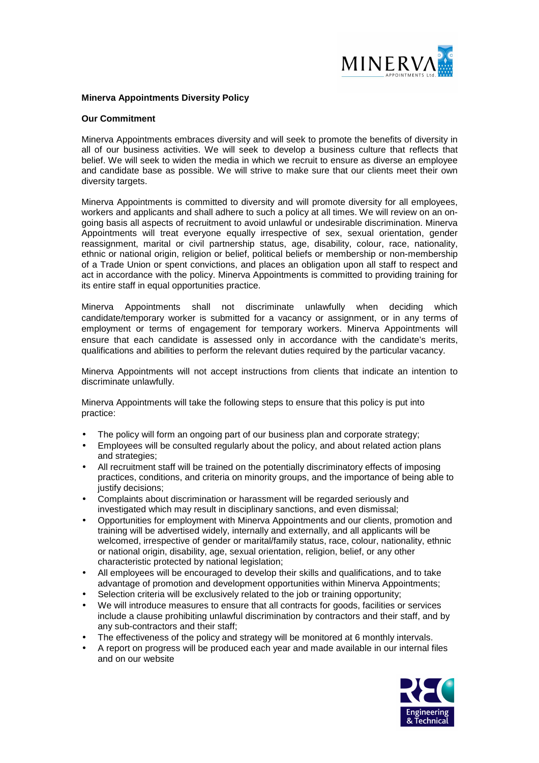

# **Minerva Appointments Diversity Policy**

#### **Our Commitment**

Minerva Appointments embraces diversity and will seek to promote the benefits of diversity in all of our business activities. We will seek to develop a business culture that reflects that belief. We will seek to widen the media in which we recruit to ensure as diverse an employee and candidate base as possible. We will strive to make sure that our clients meet their own diversity targets.

Minerva Appointments is committed to diversity and will promote diversity for all employees, workers and applicants and shall adhere to such a policy at all times. We will review on an ongoing basis all aspects of recruitment to avoid unlawful or undesirable discrimination. Minerva Appointments will treat everyone equally irrespective of sex, sexual orientation, gender reassignment, marital or civil partnership status, age, disability, colour, race, nationality, ethnic or national origin, religion or belief, political beliefs or membership or non-membership of a Trade Union or spent convictions, and places an obligation upon all staff to respect and act in accordance with the policy. Minerva Appointments is committed to providing training for its entire staff in equal opportunities practice.

Minerva Appointments shall not discriminate unlawfully when deciding which candidate/temporary worker is submitted for a vacancy or assignment, or in any terms of employment or terms of engagement for temporary workers. Minerva Appointments will ensure that each candidate is assessed only in accordance with the candidate's merits, qualifications and abilities to perform the relevant duties required by the particular vacancy.

Minerva Appointments will not accept instructions from clients that indicate an intention to discriminate unlawfully.

Minerva Appointments will take the following steps to ensure that this policy is put into practice:

- The policy will form an ongoing part of our business plan and corporate strategy;
- Employees will be consulted regularly about the policy, and about related action plans and strategies;
- All recruitment staff will be trained on the potentially discriminatory effects of imposing practices, conditions, and criteria on minority groups, and the importance of being able to justify decisions;
- Complaints about discrimination or harassment will be regarded seriously and investigated which may result in disciplinary sanctions, and even dismissal;
- Opportunities for employment with Minerva Appointments and our clients, promotion and training will be advertised widely, internally and externally, and all applicants will be welcomed, irrespective of gender or marital/family status, race, colour, nationality, ethnic or national origin, disability, age, sexual orientation, religion, belief, or any other characteristic protected by national legislation;
- All employees will be encouraged to develop their skills and qualifications, and to take advantage of promotion and development opportunities within Minerva Appointments;
- Selection criteria will be exclusively related to the job or training opportunity;
- We will introduce measures to ensure that all contracts for goods, facilities or services include a clause prohibiting unlawful discrimination by contractors and their staff, and by any sub-contractors and their staff;
- The effectiveness of the policy and strategy will be monitored at 6 monthly intervals.
- A report on progress will be produced each year and made available in our internal files and on our website

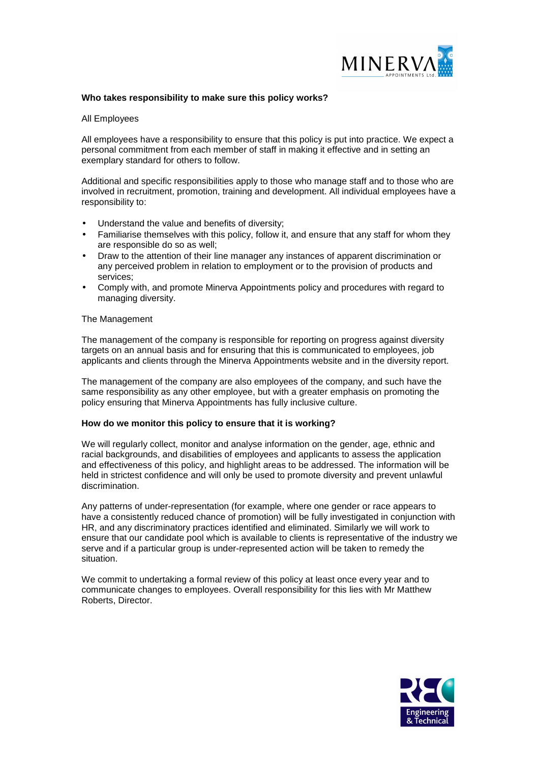

# **Who takes responsibility to make sure this policy works?**

# All Employees

All employees have a responsibility to ensure that this policy is put into practice. We expect a personal commitment from each member of staff in making it effective and in setting an exemplary standard for others to follow.

Additional and specific responsibilities apply to those who manage staff and to those who are involved in recruitment, promotion, training and development. All individual employees have a responsibility to:

- Understand the value and benefits of diversity;
- Familiarise themselves with this policy, follow it, and ensure that any staff for whom they are responsible do so as well;
- Draw to the attention of their line manager any instances of apparent discrimination or any perceived problem in relation to employment or to the provision of products and services;
- Comply with, and promote Minerva Appointments policy and procedures with regard to managing diversity.

#### The Management

The management of the company is responsible for reporting on progress against diversity targets on an annual basis and for ensuring that this is communicated to employees, job applicants and clients through the Minerva Appointments website and in the diversity report.

The management of the company are also employees of the company, and such have the same responsibility as any other employee, but with a greater emphasis on promoting the policy ensuring that Minerva Appointments has fully inclusive culture.

# **How do we monitor this policy to ensure that it is working?**

We will regularly collect, monitor and analyse information on the gender, age, ethnic and racial backgrounds, and disabilities of employees and applicants to assess the application and effectiveness of this policy, and highlight areas to be addressed. The information will be held in strictest confidence and will only be used to promote diversity and prevent unlawful discrimination.

Any patterns of under-representation (for example, where one gender or race appears to have a consistently reduced chance of promotion) will be fully investigated in conjunction with HR, and any discriminatory practices identified and eliminated. Similarly we will work to ensure that our candidate pool which is available to clients is representative of the industry we serve and if a particular group is under-represented action will be taken to remedy the situation.

We commit to undertaking a formal review of this policy at least once every year and to communicate changes to employees. Overall responsibility for this lies with Mr Matthew Roberts, Director.